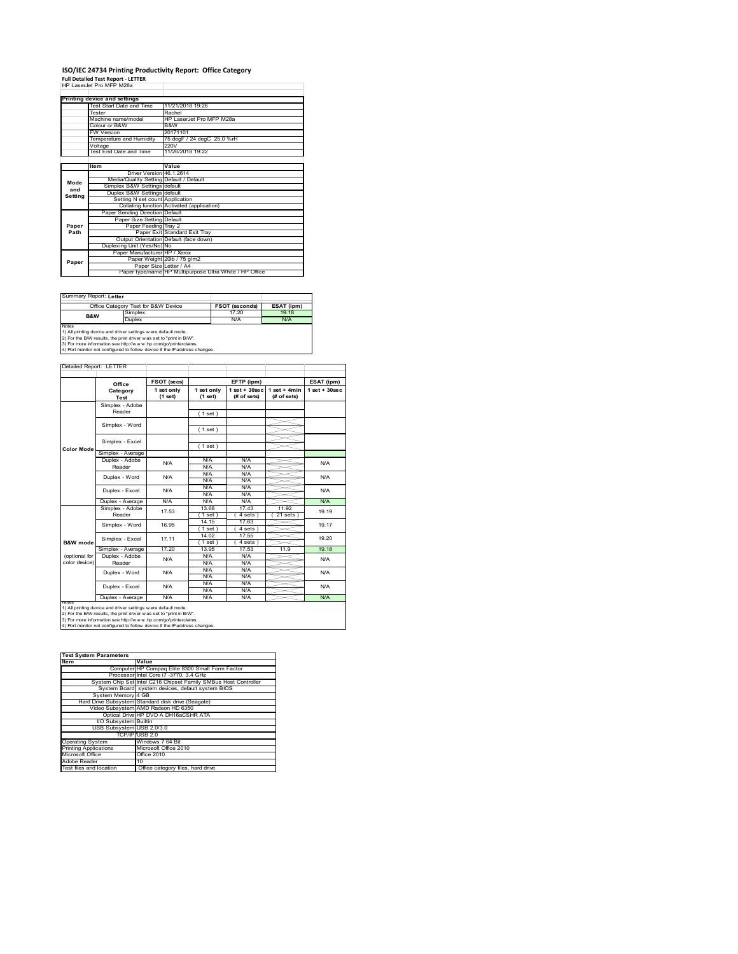# **ISO/IEC 24734 Printing Productivity Report: Office Category Full Detailed Test Report ‐ LETTER** HP LaserJet Pro MFP M28a

|         | HP Laser.let Pro MFP M28a               |                                                         |
|---------|-----------------------------------------|---------------------------------------------------------|
|         | Printing device and settings            |                                                         |
|         | Test Start Date and Time                | 11/21/2018 19:26                                        |
|         | Tester                                  | Rachel                                                  |
|         | Machine name/model                      | HP LaserJet Pro MFP M28a                                |
|         | Colour or B&W                           | B&W                                                     |
|         | <b>FW Version</b>                       | 20171101                                                |
|         | Temperature and Humidity                | 75 degF / 24 degC 25.0 %rH                              |
|         | Voltage                                 | 220V                                                    |
|         | Test End Date and Time                  | 11/26/2018 19:22                                        |
|         |                                         |                                                         |
|         | Item                                    | Value                                                   |
|         | Driver Version 46.1.2614                |                                                         |
| Mode    | Media/Quality Setting Default / Default |                                                         |
| and     | Simplex B&W Settings default            |                                                         |
| Setting | Duplex B&W Settings default             |                                                         |
|         | Setting N set count Application         |                                                         |
|         |                                         | Collating function Activated (application)              |
|         | Paper Sending Direction Default         |                                                         |
|         | Paper Size Setting Default              |                                                         |
| Paper   | Paper Feeding Tray 2                    |                                                         |
| Path    |                                         | Paper Exit Standard Exit Tray                           |
|         |                                         | Output Orientation Default (face down)                  |
|         | Duplexing Unit (Yes/No) No              |                                                         |
|         | Paper Manufacturer HP / Xerox           |                                                         |
| Paper   |                                         | Paper Weight 20lb / 75 g/m2                             |
|         | Paper Size Letter / A4                  |                                                         |
|         |                                         | Paper type/name HP Multipurpose Ultra White / HP Office |

Summary Report: **Letter**

|                                                                | Office Category Test for B&W Device | <b>FSOT (seconds)</b> | ESAT (ipm) |  |  |  |  |
|----------------------------------------------------------------|-------------------------------------|-----------------------|------------|--|--|--|--|
| B&W                                                            | Simplex                             | 17.20                 | 19 18      |  |  |  |  |
|                                                                | Duplex                              | N/A                   | N/A        |  |  |  |  |
| Notes                                                          |                                     |                       |            |  |  |  |  |
| 1) All printing device and driver settings w ere default mode. |                                     |                       |            |  |  |  |  |
|                                                                |                                     |                       |            |  |  |  |  |

1) All printing device and driver settings were default mode.<br>2) For the B/W results, the print driver was set to "print in B/W".<br>3) For more information see http://www.hp.com/go/printerclaims.<br>4) Port monitor not configur

|               | Office                    | FSOT (secs)           | EFTP (ipm)            |                                  |                               | ESAT (ipm)        |  |
|---------------|---------------------------|-----------------------|-----------------------|----------------------------------|-------------------------------|-------------------|--|
|               | Category<br>Test          | 1 set only<br>(1 set) | 1 set only<br>(1 set) | $1$ set $+30$ sec<br>(# of sets) | $1$ set + 4min<br>(# of sets) | $1$ set $+30$ sec |  |
|               | Simplex - Adobe           |                       |                       |                                  |                               |                   |  |
|               | Reader                    |                       | (1 set)               |                                  |                               |                   |  |
|               | Simplex - Word            |                       |                       |                                  |                               |                   |  |
|               |                           |                       | (1 set)               |                                  |                               |                   |  |
|               | Simplex - Excel           |                       |                       |                                  |                               |                   |  |
| Color Mode    |                           |                       | (1 set)               |                                  |                               |                   |  |
|               | Simplex - Average         |                       |                       |                                  |                               |                   |  |
|               | Duplex - Adobe            | N/A                   | N/A                   | N/A                              |                               | N/A               |  |
|               | Reader                    |                       | N/A                   | N/A                              |                               |                   |  |
|               | Duplex - Word             | N/A                   | N/A                   | N/A                              |                               | N/A               |  |
|               |                           |                       | N/A                   | N/A                              |                               |                   |  |
|               | Duplex - Excel            | N/A                   | N/A<br>N/A            | N/A<br>N/A                       |                               | N/A               |  |
|               | Duplex - Average          | N/A                   | N/A                   | N/A                              |                               | N/A               |  |
|               | Simplex - Adobe<br>Reader | 17.53                 | 13.68                 | 17.43                            | 11.92                         | 19.19             |  |
|               |                           |                       | 1 set )               | 4 sets                           | 21 sets                       |                   |  |
|               | Simplex - Word            | 16.95                 | 14.15                 | 17.63                            |                               | 19.17             |  |
|               |                           |                       | $1$ set)              | $4 sets$ )                       |                               |                   |  |
|               | Simplex - Excel           | 17.11                 | 14.02                 | 17.55                            |                               | 19 20             |  |
| B&W mode      |                           |                       | $1$ set)              | 4 sets                           |                               |                   |  |
|               | Simplex - Average         | 17 20                 | 13.95                 | 17.53                            | 11.9                          | 19.18             |  |
| (optional for | Duplex - Adobe            | N/A                   | N/A                   | N/A                              |                               | N/A               |  |
| color device) | Reader                    |                       | N/A                   | N/A                              |                               |                   |  |
|               | Duplex - Word             | N/A                   | N/A                   | N/A                              |                               | N/A               |  |
|               |                           |                       | N/A                   | N/A                              |                               |                   |  |
|               | Duplex - Excel            | N/A                   | N/A                   | N/A                              |                               | N/A               |  |
|               |                           |                       | N/A                   | N/A                              |                               |                   |  |
| <b>NOTAS</b>  | Duplex - Average          | N/A                   | N/A                   | N/A                              |                               | N/A               |  |

| <b>Test System Parameters</b> |                                                                 |  |  |  |
|-------------------------------|-----------------------------------------------------------------|--|--|--|
| <b>Item</b>                   | Value                                                           |  |  |  |
|                               | Computer HP Compaq Elite 8300 Small Form Factor                 |  |  |  |
|                               | Processor Intel Core i7 -3770, 3.4 GHz                          |  |  |  |
|                               | System Chip Set Intel C216 Chipset Family SMBus Host Controller |  |  |  |
|                               | System Board system devices, default system BIOS                |  |  |  |
| System Memory 4 GB            |                                                                 |  |  |  |
|                               | Hard Drive Subsystem Standard disk drive (Seagate)              |  |  |  |
|                               | Video Subsystem AMD Radeon HD 6350                              |  |  |  |
|                               | Optical Drive HP DVD A DH16aCSHR ATA                            |  |  |  |
| I/O Subsystem Builtin         |                                                                 |  |  |  |
| USB Subsystem USB 2.0/3.0     |                                                                 |  |  |  |
|                               | TCP/IP USB 2.0                                                  |  |  |  |
| <b>Operating System</b>       | Windows 7 64 Bit                                                |  |  |  |
| <b>Printing Applications</b>  | Microsoft Office 2010                                           |  |  |  |
| Microsoft Office              | Office 2010                                                     |  |  |  |
| Adobe Reader                  | 10                                                              |  |  |  |
| Test files and location       | Office category files, hard drive                               |  |  |  |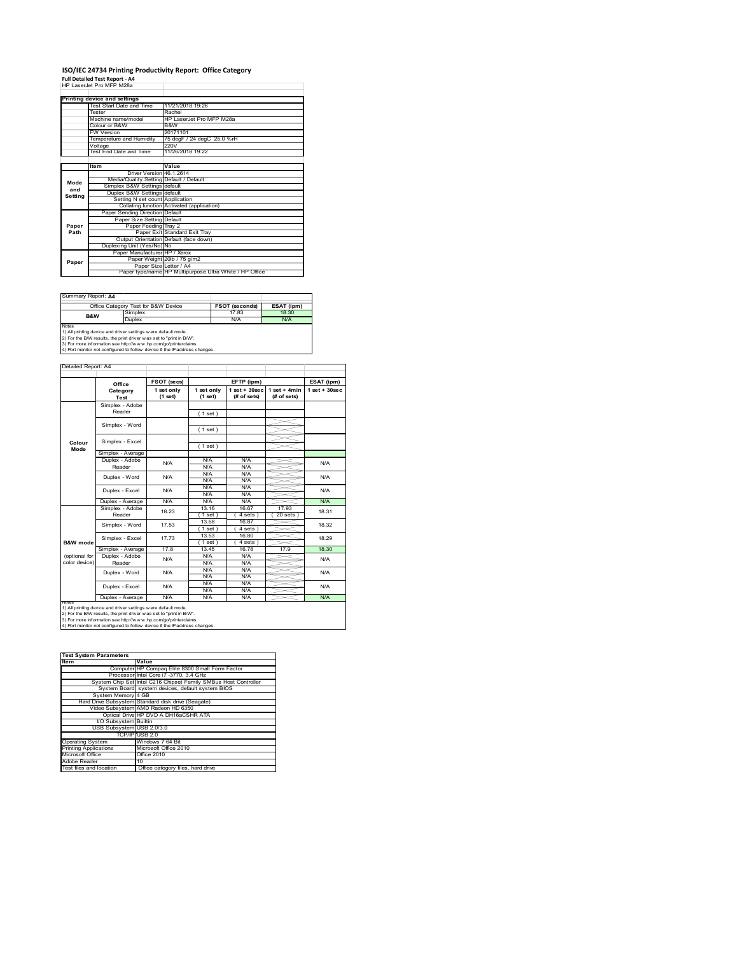### **ISO/IEC 24734 Printing Productivity Report: Office Category Full Detailed Test Report ‐ A4** HP LaserJet Pro MFP M28a

|         | HP Laser let Pro MFP M28a               |                                                         |
|---------|-----------------------------------------|---------------------------------------------------------|
|         |                                         |                                                         |
|         | Printing device and settings            |                                                         |
|         | Test Start Date and Time                | 11/21/2018 19:26                                        |
|         | Tester                                  | Rachel                                                  |
|         | Machine name/model                      | HP LaserJet Pro MFP M28a                                |
|         | Colour or B&W                           | B&W                                                     |
|         | <b>FW Version</b>                       | 20171101                                                |
|         | Temperature and Humidity                | 75 degF / 24 degC 25.0 %rH                              |
|         | Voltage                                 | 220V                                                    |
|         | Test End Date and Time                  | 11/26/2018 19:22                                        |
|         |                                         |                                                         |
|         | Item                                    | Value                                                   |
|         | Driver Version 46.1.2614                |                                                         |
| Mode    | Media/Quality Setting Default / Default |                                                         |
| and     | Simplex B&W Settings default            |                                                         |
| Setting | Duplex B&W Settings default             |                                                         |
|         | Setting N set count Application         |                                                         |
|         |                                         | Collating function Activated (application)              |
|         | Paper Sending Direction Default         |                                                         |
|         | Paper Size Setting Default              |                                                         |
| Paper   | Paper Feeding Tray 2                    |                                                         |
| Path    |                                         | Paper Exit Standard Exit Trav                           |
|         |                                         | Output Orientation Default (face down)                  |
|         | Duplexing Unit (Yes/No) No              |                                                         |
|         | Paper Manufacturer HP / Xerox           |                                                         |
| Paper   |                                         | Paper Weight 20lb / 75 g/m2                             |
|         | Paper Size Letter / A4                  |                                                         |
|         |                                         | Paper type/name HP Multipurpose Ultra White / HP Office |

Summary Report: **A4**

| <b>BUGILILIGIY INSPOIL A HA</b>                                                                                                                                                                                                                                                                  |                                     |                       |            |  |  |  |
|--------------------------------------------------------------------------------------------------------------------------------------------------------------------------------------------------------------------------------------------------------------------------------------------------|-------------------------------------|-----------------------|------------|--|--|--|
|                                                                                                                                                                                                                                                                                                  | Office Category Test for B&W Device | <b>FSOT (seconds)</b> | ESAT (ipm) |  |  |  |
| B&W                                                                                                                                                                                                                                                                                              | Simplex                             | 17.83                 | 18.30      |  |  |  |
|                                                                                                                                                                                                                                                                                                  | Duplex                              | N/A                   | N/A        |  |  |  |
| <b>Notes</b>                                                                                                                                                                                                                                                                                     |                                     |                       |            |  |  |  |
| 1) All printing device and driver settings w ere default mode.<br>and the contract of the contract of the contract of the contract of the contract of the contract of the contract of the contract of the contract of the contract of the contract of the contract of the contract of the contra |                                     |                       |            |  |  |  |

1) All printing device and driver settings were default mode.<br>2) For the B/W results, the print driver was set to "print in B/W".<br>3) For more information see http://www.hp.com/go/printerclaims.<br>4) Port monitor not configur

|                                | Office                    | FSOT (secs)           |                       | EFTP (ipm)                       |                               | ESAT (ipm)         |
|--------------------------------|---------------------------|-----------------------|-----------------------|----------------------------------|-------------------------------|--------------------|
|                                | Category<br>Test          | 1 set only<br>(1 set) | 1 set only<br>(1 set) | $1$ set $+30$ sec<br>(# of sets) | $1$ set + 4min<br>(# of sets) | $1$ set + $30$ sec |
|                                | Simplex - Adobe<br>Reader |                       | (1 set)               |                                  |                               |                    |
|                                | Simplex - Word            |                       | (1 set)               |                                  |                               |                    |
| Colour<br>Mode                 | Simplex - Excel           |                       | (1 set)               |                                  |                               |                    |
|                                | Simplex - Average         |                       |                       |                                  |                               |                    |
|                                | Duplex - Adobe<br>Reader  | N/A                   | N/A<br>N/A            | N/A<br>N/A                       |                               | N/A                |
|                                | Duplex - Word             | N/A                   | N/A<br>N/A            | N/A<br>N/A                       |                               | N/A                |
|                                | Duplex - Excel            | N/A                   | N/A<br>N/A            | N/A<br>N/A                       |                               | N/A                |
|                                | Duplex - Average          | N/A                   | N/A                   | N/A                              |                               | N/A                |
|                                | Simplex - Adobe<br>Reader | 18 23                 | 13.16<br>$1$ set $)$  | 16.67<br>4 sets 1                | 17.93<br>$20$ sets $)$        | 18.31              |
|                                | Simplex - Word            | 17.53                 | 13.68<br>$1$ set)     | 16.87<br>4 sets)                 |                               | 18.32              |
| <b>B&amp;W</b> mode            | Simplex - Excel           | 17 73                 | 13.53<br>$1$ set)     | 16.80<br>$4 sets$ )              |                               | 18 29              |
|                                | Simplex - Average         | 17.8                  | 13.45                 | 16.78                            | 17.9                          | 18.30              |
| (optional for<br>color device) | Duplex - Adobe<br>Reader  | N/A                   | N/A<br>N/A            | N/A<br>N/A                       |                               | N/A                |
|                                | Duplex - Word             | N/A                   | N/A<br>N/A            | N/A<br>N/A                       |                               | N/A                |
|                                | Duplex - Excel            | N/A                   | N/A<br>N/A            | N/A<br>N/A                       |                               | N/A                |
|                                | Duplex - Average          | N/A                   | N/A                   | N/A                              |                               | N/A                |

1) All printing device and driver settings were default mode.<br>2) For the B/W results, the print driver was set to "print in B/W".<br>3) For more information see http://www.hp.com/go/printerclaims.<br>4) Port monitor not configur

| <b>Test System Parameters</b> |                                                                 |  |  |  |
|-------------------------------|-----------------------------------------------------------------|--|--|--|
| <b>Item</b>                   | Value                                                           |  |  |  |
|                               | Computer HP Compaq Elite 8300 Small Form Factor                 |  |  |  |
|                               | Processor Intel Core i7 -3770, 3.4 GHz                          |  |  |  |
|                               | System Chip Set Intel C216 Chipset Family SMBus Host Controller |  |  |  |
|                               | System Board system devices, default system BIOS                |  |  |  |
| System Memory 4 GB            |                                                                 |  |  |  |
|                               | Hard Drive Subsystem Standard disk drive (Seagate)              |  |  |  |
|                               | Video Subsystem AMD Radeon HD 6350                              |  |  |  |
|                               | Optical Drive HP DVD A DH16aCSHR ATA                            |  |  |  |
| <b>VO Subsystem Builtin</b>   |                                                                 |  |  |  |
| USB Subsystem USB 2.0/3.0     |                                                                 |  |  |  |
|                               | TCP/IP USB 2.0                                                  |  |  |  |
| <b>Operating System</b>       | Windows 7 64 Bit                                                |  |  |  |
| <b>Printing Applications</b>  | Microsoft Office 2010                                           |  |  |  |
| Microsoft Office              | Office 2010                                                     |  |  |  |
| Adobe Reader                  | 10                                                              |  |  |  |
| Test files and location       | Office category files, hard drive                               |  |  |  |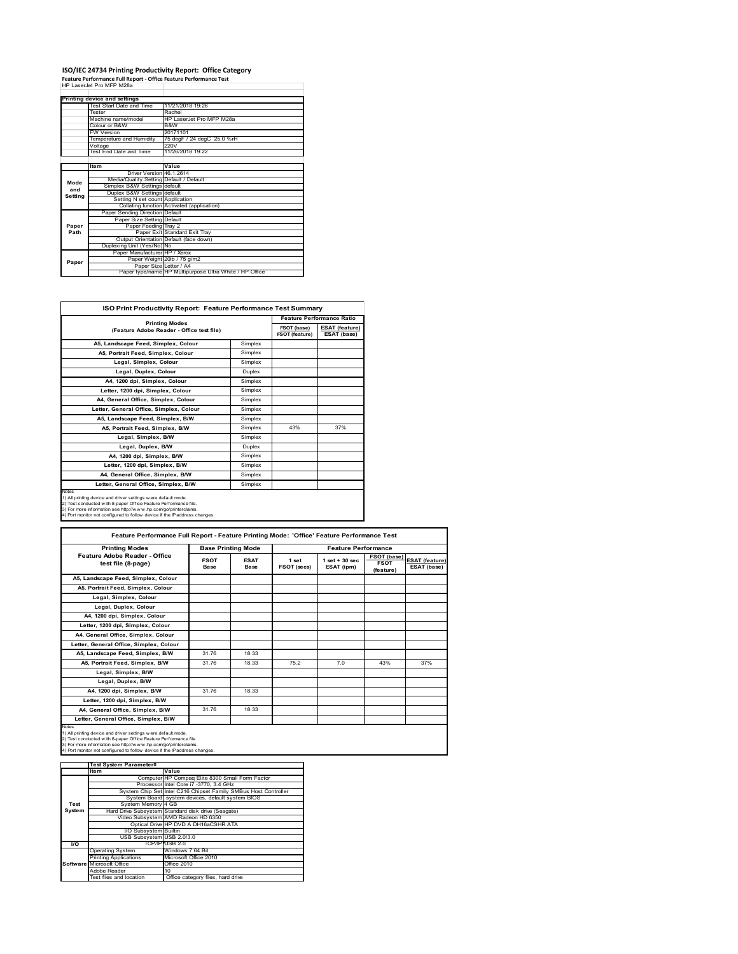## **ISO/IEC 24734 Printing Productivity Report: Office Category Feature Performance Full Report ‐ Office Feature Performance Test** HP LaserJet Pro MFP M28a

|         | Printing device and settings            |                                                         |  |
|---------|-----------------------------------------|---------------------------------------------------------|--|
|         | Test Start Date and Time                | 11/21/2018 19:26                                        |  |
|         | Tester                                  | Rachel                                                  |  |
|         | Machine name/model                      | HP Laser let Pro MFP M28a                               |  |
|         | Colour or B&W                           | B&W                                                     |  |
|         | <b>FW Version</b>                       | 20171101                                                |  |
|         | Temperature and Humidity                | 75 degF / 24 degC 25.0 %rH                              |  |
|         | Voltage                                 | 220V                                                    |  |
|         | Test End Date and Time                  | 11/26/2018 19:22                                        |  |
|         |                                         |                                                         |  |
|         | <b>Item</b>                             | Value                                                   |  |
|         | Driver Version 46.1.2614                |                                                         |  |
| Mode    | Media/Quality Setting Default / Default |                                                         |  |
| and     | Simplex B&W Settings default            |                                                         |  |
| Setting | Duplex B&W Settings default             |                                                         |  |
|         | Setting N set count Application         |                                                         |  |
|         |                                         | Collating function Activated (application)              |  |
|         | Paper Sending Direction Default         |                                                         |  |
|         | Paper Size Setting Default              |                                                         |  |
| Paper   | Paper Feeding Tray 2                    |                                                         |  |
| Path    |                                         | Paper Exit Standard Exit Tray                           |  |
|         |                                         | Output Orientation Default (face down)                  |  |
|         | Duplexing Unit (Yes/No) No              |                                                         |  |
|         | Paper Manufacturer HP / Xerox           |                                                         |  |
| Paper   |                                         | Paper Weight 20lb / 75 g/m2                             |  |
|         | Paper Size Letter / A4                  |                                                         |  |
|         |                                         | Paper type/name HP Multipurpose Ultra White / HP Office |  |

٦

| <b>ISO Print Productivity Report: Feature Performance Test Summary</b>                                                                                                                                                                                                                      |               |                                      |                                      |  |
|---------------------------------------------------------------------------------------------------------------------------------------------------------------------------------------------------------------------------------------------------------------------------------------------|---------------|--------------------------------------|--------------------------------------|--|
| <b>Printing Modes</b>                                                                                                                                                                                                                                                                       |               | <b>Feature Performance Ratio</b>     |                                      |  |
| (Feature Adobe Reader - Office test file)                                                                                                                                                                                                                                                   |               | FSOT (base)<br><b>FSOT (feature)</b> | <b>ESAT (feature)</b><br>ESAT (base) |  |
| A5, Landscape Feed, Simplex, Colour                                                                                                                                                                                                                                                         | Simplex       |                                      |                                      |  |
| A5, Portrait Feed, Simplex, Colour                                                                                                                                                                                                                                                          | Simplex       |                                      |                                      |  |
| Legal, Simplex, Colour                                                                                                                                                                                                                                                                      | Simplex       |                                      |                                      |  |
| Legal, Duplex, Colour                                                                                                                                                                                                                                                                       | <b>Duplex</b> |                                      |                                      |  |
| A4, 1200 dpi, Simplex, Colour                                                                                                                                                                                                                                                               | Simplex       |                                      |                                      |  |
| Letter, 1200 dpi, Simplex, Colour                                                                                                                                                                                                                                                           | Simplex       |                                      |                                      |  |
| A4. General Office. Simplex. Colour                                                                                                                                                                                                                                                         | Simplex       |                                      |                                      |  |
| Letter, General Office, Simplex, Colour                                                                                                                                                                                                                                                     | Simplex       |                                      |                                      |  |
| A5. Landscape Feed. Simplex. B/W                                                                                                                                                                                                                                                            | Simplex       |                                      |                                      |  |
| A5, Portrait Feed, Simplex, B/W                                                                                                                                                                                                                                                             | Simplex       | 43%                                  | 37%                                  |  |
| Legal, Simplex, B/W                                                                                                                                                                                                                                                                         | Simplex       |                                      |                                      |  |
| Legal, Duplex, B/W                                                                                                                                                                                                                                                                          | <b>Duplex</b> |                                      |                                      |  |
| A4. 1200 dpi. Simplex, B/W                                                                                                                                                                                                                                                                  | Simplex       |                                      |                                      |  |
| Letter, 1200 dpi, Simplex, B/W                                                                                                                                                                                                                                                              | Simplex       |                                      |                                      |  |
| A4, General Office, Simplex, B/W                                                                                                                                                                                                                                                            | Simplex       |                                      |                                      |  |
| Letter, General Office, Simplex, B/W                                                                                                                                                                                                                                                        | Simplex       |                                      |                                      |  |
| Notes<br>1) All printing device and driver settings w ere default mode.<br>2) Test conducted with 8-paper Office Feature Performance file.<br>3) For more information see http://www.hp.com/go/printerclaims.<br>4) Port monitor not configured to follow device if the IP address changes. |               |                                      |                                      |  |

| Feature Performance Full Report - Feature Printing Mode: 'Office' Feature Performance Test                                                                                                                                                                                                 |                            |                           |                      |                                  |                                                |                                      |
|--------------------------------------------------------------------------------------------------------------------------------------------------------------------------------------------------------------------------------------------------------------------------------------------|----------------------------|---------------------------|----------------------|----------------------------------|------------------------------------------------|--------------------------------------|
| <b>Printing Modes</b>                                                                                                                                                                                                                                                                      |                            | <b>Base Printing Mode</b> |                      | <b>Feature Performance</b>       |                                                |                                      |
| Feature Adobe Reader - Office<br>test file (8-page)                                                                                                                                                                                                                                        | <b>FSOT</b><br><b>Base</b> | <b>ESAT</b><br>Base       | 1 set<br>FSOT (secs) | $1$ set $+30$ sec.<br>ESAT (ipm) | <b>FSOT (base)</b><br><b>FSOT</b><br>(feature) | <b>ESAT (feature)</b><br>ESAT (base) |
| A5, Landscape Feed, Simplex, Colour                                                                                                                                                                                                                                                        |                            |                           |                      |                                  |                                                |                                      |
| A5, Portrait Feed, Simplex, Colour                                                                                                                                                                                                                                                         |                            |                           |                      |                                  |                                                |                                      |
| Legal, Simplex, Colour                                                                                                                                                                                                                                                                     |                            |                           |                      |                                  |                                                |                                      |
| Legal, Duplex, Colour                                                                                                                                                                                                                                                                      |                            |                           |                      |                                  |                                                |                                      |
| A4, 1200 dpi, Simplex, Colour                                                                                                                                                                                                                                                              |                            |                           |                      |                                  |                                                |                                      |
| Letter, 1200 dpi, Simplex, Colour                                                                                                                                                                                                                                                          |                            |                           |                      |                                  |                                                |                                      |
| A4, General Office, Simplex, Colour                                                                                                                                                                                                                                                        |                            |                           |                      |                                  |                                                |                                      |
| Letter, General Office, Simplex, Colour                                                                                                                                                                                                                                                    |                            |                           |                      |                                  |                                                |                                      |
| A5, Landscape Feed, Simplex, B/W                                                                                                                                                                                                                                                           | 31.76                      | 18.33                     |                      |                                  |                                                |                                      |
| A5, Portrait Feed, Simplex, B/W                                                                                                                                                                                                                                                            | 31 76                      | 18.33                     | 75.2                 | 70                               | 43%                                            | 37%                                  |
| Legal, Simplex, B/W                                                                                                                                                                                                                                                                        |                            |                           |                      |                                  |                                                |                                      |
| Legal, Duplex, B/W                                                                                                                                                                                                                                                                         |                            |                           |                      |                                  |                                                |                                      |
| A4, 1200 dpi, Simplex, B/W                                                                                                                                                                                                                                                                 | 31.76                      | 18.33                     |                      |                                  |                                                |                                      |
| Letter, 1200 dpi, Simplex, B/W                                                                                                                                                                                                                                                             |                            |                           |                      |                                  |                                                |                                      |
| A4. General Office. Simplex. B/W                                                                                                                                                                                                                                                           | 31.76                      | 18.33                     |                      |                                  |                                                |                                      |
| Letter, General Office, Simplex, B/W                                                                                                                                                                                                                                                       |                            |                           |                      |                                  |                                                |                                      |
| Notes<br>1) All printing device and driver settings w ere default mode.<br>2) Test conducted with 8-paper Office Feature Performance file<br>3) For more information see http://www.hp.com/go/printerclaims.<br>4) Port monitor not configured to follow device if the IP address changes. |                            |                           |                      |                                  |                                                |                                      |

|           | <b>Test System Parameters</b> |                                                                 |
|-----------|-------------------------------|-----------------------------------------------------------------|
|           | Item                          | Value                                                           |
|           |                               | Computer HP Compaq Elite 8300 Small Form Factor                 |
|           |                               | Processor Intel Core i7 -3770, 3.4 GHz                          |
|           |                               | System Chip Set Intel C216 Chipset Family SMBus Host Controller |
|           |                               | System Board system devices, default system BIOS                |
| Test      | System Memory 4 GB            |                                                                 |
| System    |                               | Hard Drive Subsystem Standard disk drive (Seagate)              |
|           |                               | Video Subsystem AMD Radeon HD 6350                              |
|           |                               | Optical Drive HP DVD A DH16aCSHR ATA                            |
|           | I/O Subsystem Builtin         |                                                                 |
|           | USB Subsystem USB 2.0/3.0     |                                                                 |
| <b>VO</b> |                               | TCP/IPIUSB 2.0                                                  |
|           | <b>Operating System</b>       | Windows 7 64 Bit                                                |
|           | <b>Printing Applications</b>  | Microsoft Office 2010                                           |
|           | Software Microsoft Office     | Office 2010                                                     |
|           | Adobe Reader                  | 10                                                              |
|           | Test files and location       | Office category files, hard drive                               |
|           |                               |                                                                 |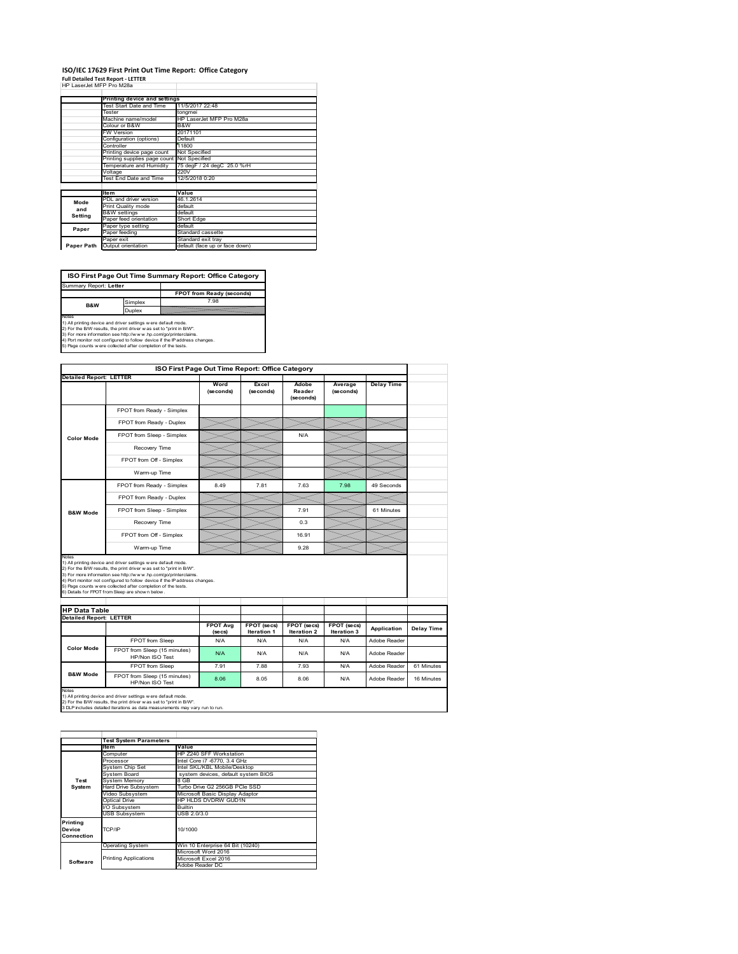## **ISO/IEC 17629 First Print Out Time Report: Office Category**

| <b>Full Detailed Test Report - LETTER</b> |
|-------------------------------------------|
| HP LaserJet MFP Pro M28a                  |

|            | Printing device and settings               |                                |  |
|------------|--------------------------------------------|--------------------------------|--|
|            | Test Start Date and Time                   | 11/5/2017 22:48                |  |
|            | Tester                                     | tongmei                        |  |
|            | Machine name/model                         | HP LaserJet MFP Pro M28a       |  |
|            | Colour or B&W                              | B&W                            |  |
|            | <b>FW Version</b>                          | 20171101                       |  |
|            | Configuration (options)                    | Default                        |  |
|            | Controller                                 | 11800                          |  |
|            | Printing device page count                 | Not Specified                  |  |
|            | Printing supplies page count Not Specified |                                |  |
|            | Temperature and Humidity                   | 75 degF / 24 degC 25.0 %rH     |  |
|            | Voltage                                    | 220V                           |  |
|            | Test End Date and Time                     | 12/5/2018 0:20                 |  |
|            |                                            |                                |  |
|            | <b>Item</b>                                | Value                          |  |
| Mode       | PDL and driver version                     | 46.1.2614                      |  |
| and        | Print Quality mode                         | default                        |  |
| Setting    | <b>B&amp;W</b> settings                    | default                        |  |
|            | Paper feed orientation                     | Short Edge                     |  |
| Paper      | Paper type setting                         | default                        |  |
|            | Paper feeding                              | Standard cassette              |  |
|            | Paper exit                                 | Standard exit tray             |  |
| Paper Path | Output orientation                         | default (face up or face down) |  |

**FPOT from Ready (seconds)**<br>Simplex 7.98 **ISO First Page Out Time Summary Report: Office Category** Summary Report: **Letter B&W**

**Duplex**<br>Notes<br>1) All printing device and driver settings were default mode.<br>2) For the BM results, the print driver was set to "print in BM".<br>4) For more information see http://www.hp.com/golprinterclaims.<br>4) Port monitor

|                                                        |                                                                                                                                                                                                                                                                                                                                                                                                              | ISO First Page Out Time Report: Office Category |                                   |                              |                            |                   |            |
|--------------------------------------------------------|--------------------------------------------------------------------------------------------------------------------------------------------------------------------------------------------------------------------------------------------------------------------------------------------------------------------------------------------------------------------------------------------------------------|-------------------------------------------------|-----------------------------------|------------------------------|----------------------------|-------------------|------------|
| <b>Detailed Report: LETTER</b>                         |                                                                                                                                                                                                                                                                                                                                                                                                              | Word<br>(seconds)                               | Excel<br>(seconds)                | Adobe<br>Reader<br>(seconds) | Average<br>(seconds)       | <b>Delay Time</b> |            |
|                                                        | FPOT from Ready - Simplex                                                                                                                                                                                                                                                                                                                                                                                    |                                                 |                                   |                              |                            |                   |            |
|                                                        | FPOT from Ready - Duplex                                                                                                                                                                                                                                                                                                                                                                                     |                                                 |                                   |                              |                            |                   |            |
| <b>Color Mode</b>                                      | FPOT from Sleep - Simplex                                                                                                                                                                                                                                                                                                                                                                                    |                                                 |                                   | N/A                          |                            |                   |            |
|                                                        | Recovery Time                                                                                                                                                                                                                                                                                                                                                                                                |                                                 |                                   |                              |                            |                   |            |
|                                                        | FPOT from Off - Simplex                                                                                                                                                                                                                                                                                                                                                                                      |                                                 |                                   |                              |                            |                   |            |
|                                                        | Warm-up Time                                                                                                                                                                                                                                                                                                                                                                                                 |                                                 |                                   |                              |                            |                   |            |
|                                                        | FPOT from Ready - Simplex                                                                                                                                                                                                                                                                                                                                                                                    | 8.49                                            | 7.81                              | 7.63                         | 7.98                       | 49 Seconds        |            |
|                                                        | FPOT from Ready - Duplex                                                                                                                                                                                                                                                                                                                                                                                     |                                                 |                                   |                              |                            |                   |            |
| <b>B&amp;W Mode</b>                                    | FPOT from Sleep - Simplex                                                                                                                                                                                                                                                                                                                                                                                    |                                                 |                                   | 791                          |                            | 61 Minutes        |            |
|                                                        | Recovery Time                                                                                                                                                                                                                                                                                                                                                                                                |                                                 |                                   | 0.3                          |                            |                   |            |
|                                                        |                                                                                                                                                                                                                                                                                                                                                                                                              |                                                 |                                   |                              |                            |                   |            |
|                                                        | FPOT from Off - Simplex                                                                                                                                                                                                                                                                                                                                                                                      |                                                 |                                   | 16.91                        |                            |                   |            |
| Notes                                                  | Warm-up Time                                                                                                                                                                                                                                                                                                                                                                                                 |                                                 |                                   | 9.28                         |                            |                   |            |
| <b>HP Data Table</b><br><b>Detailed Report: LETTER</b> | 1) All printing device and driver settings w ere default mode.<br>2) For the B/W results, the print driver w as set to "print in B/W".<br>3) For more information see http://www.hp.com/go/printerclaims.<br>4) Port monitor not configured to follow device if the IP address changes.<br>5) Page counts w ere collected after completion of the tests.<br>6) Details for FPOT from Sleep are show n below. | <b>FPOT Avg</b><br>(se cs)                      | <b>FPOT</b> (secs)<br>Iteration 1 | FPOT (secs)<br>Iteration 2   | FPOT (secs)<br>Iteration 3 | Application       | Delay Time |
|                                                        | FPOT from Sleep                                                                                                                                                                                                                                                                                                                                                                                              | N/A                                             | N/A                               | N/A                          | N/A                        | Adobe Reader      |            |
| <b>Color Mode</b>                                      | FPOT from Sleep (15 minutes)<br>HP/Non ISO Test                                                                                                                                                                                                                                                                                                                                                              | N/A                                             | N/A                               | N/A                          | N/A                        | Adobe Reader      |            |
| <b>B&amp;W Mode</b>                                    | FPOT from Sleep                                                                                                                                                                                                                                                                                                                                                                                              | 7.91                                            | 7.88                              | 7.93                         | N/A                        | Adobe Reader      | 61 Minutes |

|                                  | <b>Test System Parameters</b> |                                     |  |  |  |
|----------------------------------|-------------------------------|-------------------------------------|--|--|--|
|                                  | <b>Item</b>                   | Value                               |  |  |  |
|                                  | Computer                      | HP Z240 SFF Workstation             |  |  |  |
|                                  | Processor                     | Intel Core i7 -6770, 3.4 GHz        |  |  |  |
|                                  | System Chip Set               | Intel SKL/KBL Mobile/Desktop        |  |  |  |
|                                  | System Board                  | system devices, default system BIOS |  |  |  |
| Test                             | <b>System Memory</b>          | 8 GB                                |  |  |  |
| System                           | Hard Drive Subsystem          | Turbo Drive G2 256GB PCle SSD       |  |  |  |
|                                  | Video Subsystem               | Microsoft Basic Display Adaptor     |  |  |  |
|                                  | Optical Drive                 | HP HLDS DVDRW GUD1N                 |  |  |  |
|                                  | I/O Subsystem                 | Builtin                             |  |  |  |
|                                  | <b>USB Subsystem</b>          | USB 2.0/3.0                         |  |  |  |
| Printing<br>Device<br>Connection | TCP/IP                        | 10/1000                             |  |  |  |
|                                  | <b>Operating System</b>       | Win 10 Enterprise 64 Bit (10240)    |  |  |  |
|                                  |                               | Microsoft Word 2016                 |  |  |  |
| Software                         | <b>Printing Applications</b>  | Microsoft Excel 2016                |  |  |  |
|                                  |                               | Adobe Reader DC                     |  |  |  |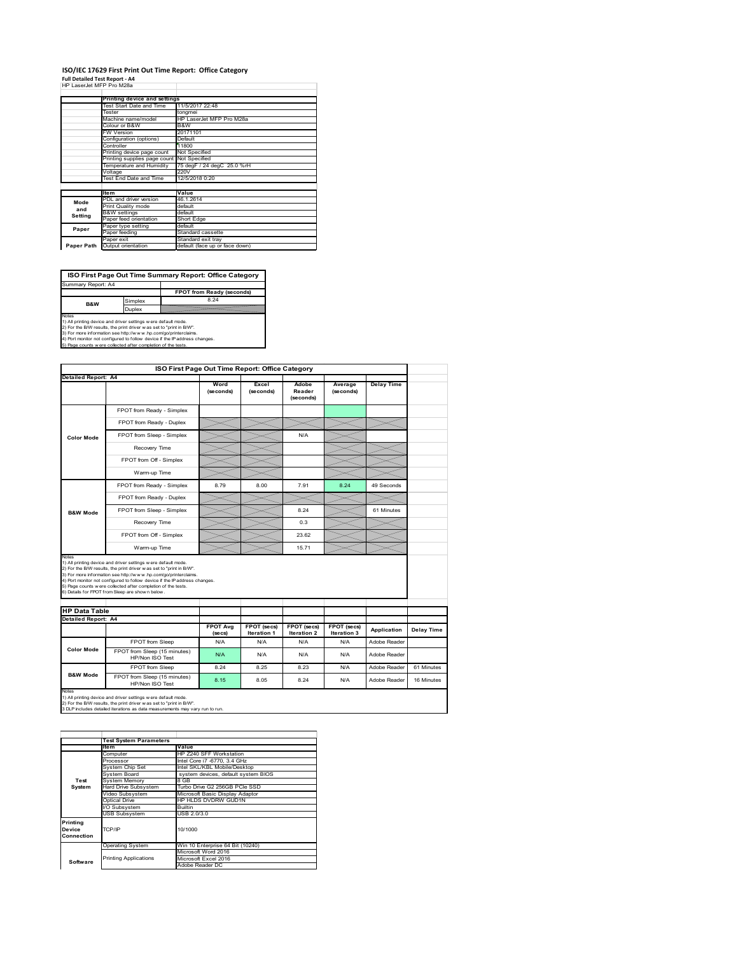#### **ISO/IEC 17629 First Print Out Time Report: Office Category Full Detailed Test Report ‐ A4**

|  | HP LaserJet MFP Pro M28a |  |  |
|--|--------------------------|--|--|

|            | Printing device and settings |                                |  |
|------------|------------------------------|--------------------------------|--|
|            | Test Start Date and Time     | 11/5/2017 22:48                |  |
|            | Tester                       | tongmei                        |  |
|            | Machine name/model           | HP LaserJet MFP Pro M28a       |  |
|            | Colour or B&W                | B&W                            |  |
|            | <b>FW Version</b>            | 20171101                       |  |
|            | Configuration (options)      | Default                        |  |
|            | Controller                   | 11800                          |  |
|            | Printing device page count   | Not Specified                  |  |
|            | Printing supplies page count | Not Specified                  |  |
|            | Temperature and Humidity     | 75 degF / 24 degC 25.0 %rH     |  |
|            | Voltage                      | 220V                           |  |
|            | Test End Date and Time       | 12/5/2018 0:20                 |  |
|            |                              |                                |  |
|            | <b>Item</b>                  | Value                          |  |
| Mode       | PDL and driver version       | 46.1.2614                      |  |
| and        | Print Quality mode           | default                        |  |
| Setting    | <b>B&amp;W</b> settings      | default                        |  |
|            | Paper feed orientation       | Short Edge                     |  |
| Paper      | Paper type setting           | default                        |  |
|            | Paper feeding                | Standard cassette              |  |
|            | Paper exit                   | Standard exit tray             |  |
| Paper Path | Output orientation           | default (face up or face down) |  |

**ISO First Page Out Time Summary Report: Office Category**

**FPOT from Ready (seconds)** Simplex 8.24 Duplex Notes<br>1) All printing device and driver settings were default mode.<br>2) For the BAV results, the print driver was set to "print in BAV".<br>3) For more information see http://www.hp.com/golprinterclaims.<br>4) Port monitor not co Summary Report: A4 **B&W**

|                            | ISO First Page Out Time Report: Office Category                                                                                                                                                                                                                                                                                                                                                              |                            |                                   |                                   |                            |                   |            |
|----------------------------|--------------------------------------------------------------------------------------------------------------------------------------------------------------------------------------------------------------------------------------------------------------------------------------------------------------------------------------------------------------------------------------------------------------|----------------------------|-----------------------------------|-----------------------------------|----------------------------|-------------------|------------|
| Detailed Report: A4        |                                                                                                                                                                                                                                                                                                                                                                                                              |                            |                                   |                                   |                            |                   |            |
|                            |                                                                                                                                                                                                                                                                                                                                                                                                              | Word<br>(seconds)          | Excel<br>(seconds)                | Adobe<br>Reader<br>(seconds)      | Average<br>(seconds)       | <b>Delay Time</b> |            |
|                            | FPOT from Ready - Simplex                                                                                                                                                                                                                                                                                                                                                                                    |                            |                                   |                                   |                            |                   |            |
|                            | FPOT from Ready - Duplex                                                                                                                                                                                                                                                                                                                                                                                     |                            |                                   |                                   |                            |                   |            |
| <b>Color Mode</b>          | FPOT from Sleep - Simplex                                                                                                                                                                                                                                                                                                                                                                                    |                            |                                   | N/A                               |                            |                   |            |
|                            | Recovery Time                                                                                                                                                                                                                                                                                                                                                                                                |                            |                                   |                                   |                            |                   |            |
|                            | FPOT from Off - Simplex                                                                                                                                                                                                                                                                                                                                                                                      |                            |                                   |                                   |                            |                   |            |
|                            | Warm-up Time                                                                                                                                                                                                                                                                                                                                                                                                 |                            |                                   |                                   |                            |                   |            |
|                            | FPOT from Ready - Simplex                                                                                                                                                                                                                                                                                                                                                                                    | 8.79                       | 8.00                              | 7.91                              | 8.24                       | 49 Seconds        |            |
|                            | FPOT from Ready - Duplex                                                                                                                                                                                                                                                                                                                                                                                     |                            |                                   |                                   |                            |                   |            |
| <b>B&amp;W Mode</b>        | FPOT from Sleep - Simplex                                                                                                                                                                                                                                                                                                                                                                                    |                            |                                   | 8.24                              |                            | 61 Minutes        |            |
|                            | Recovery Time                                                                                                                                                                                                                                                                                                                                                                                                |                            |                                   | 0.3                               |                            |                   |            |
|                            |                                                                                                                                                                                                                                                                                                                                                                                                              |                            |                                   |                                   |                            |                   |            |
|                            | FPOT from Off - Simplex                                                                                                                                                                                                                                                                                                                                                                                      |                            |                                   | 23.62                             |                            |                   |            |
| Notes                      | Warm-up Time                                                                                                                                                                                                                                                                                                                                                                                                 |                            |                                   | 15.71                             |                            |                   |            |
| <b>HP Data Table</b>       | 1) All printing device and driver settings w ere default mode.<br>2) For the B/W results, the print driver w as set to "print in B/W".<br>3) For more information see http://www.hp.com/go/printerclaims.<br>4) Port monitor not configured to follow device if the IP address changes.<br>5) Page counts w ere collected after completion of the tests.<br>6) Details for FPOT from Sleep are show n below. |                            |                                   |                                   |                            |                   |            |
|                            |                                                                                                                                                                                                                                                                                                                                                                                                              |                            |                                   |                                   |                            |                   |            |
| <b>Detailed Report: A4</b> |                                                                                                                                                                                                                                                                                                                                                                                                              | <b>FPOT Avg</b><br>(se cs) | FPOT (secs)<br><b>Iteration 1</b> | FPOT (secs)<br><b>Iteration 2</b> | FPOT (secs)<br>Iteration 3 | Application       | Delay Time |
|                            | FPOT from Sleep                                                                                                                                                                                                                                                                                                                                                                                              | N/A                        | N/A                               | N/A                               | N/A                        | Adobe Reader      |            |
| <b>Color Mode</b>          | FPOT from Sleep (15 minutes)<br>HP/Non ISO Test                                                                                                                                                                                                                                                                                                                                                              | N/A                        | N/A                               | N/A                               | N/A                        | Adobe Reader      |            |
| <b>B&amp;W Mode</b>        | FPOT from Sleep                                                                                                                                                                                                                                                                                                                                                                                              | 8.24                       | 8.25                              | 8.23                              | N/A                        | Adobe Reader      | 61 Minutes |

1) All printing device and driver settings w ere default mode.<br>2) For the B/W results, the print driver w as set to "print in B/W".<br>3 DLP includes detailed iterations as data measurements may vary run to run.

|                                  | <b>Test System Parameters</b> |                                     |  |  |  |
|----------------------------------|-------------------------------|-------------------------------------|--|--|--|
|                                  | <b>Item</b>                   | Value                               |  |  |  |
|                                  | Computer                      | HP Z240 SFF Workstation             |  |  |  |
|                                  | Processor                     | Intel Core i7 -6770, 3.4 GHz        |  |  |  |
|                                  | System Chip Set               | Intel SKL/KBL Mobile/Desktop        |  |  |  |
|                                  | System Board                  | system devices, default system BIOS |  |  |  |
| Test                             | <b>System Memory</b>          | 8 GB                                |  |  |  |
| System                           | <b>Hard Drive Subsystem</b>   | Turbo Drive G2 256GB PCle SSD       |  |  |  |
|                                  | Video Subsystem               | Microsoft Basic Display Adaptor     |  |  |  |
|                                  | <b>Optical Drive</b>          | HP HLDS DVDRW GUD1N                 |  |  |  |
|                                  | I/O Subsystem                 | <b>Builtin</b>                      |  |  |  |
|                                  | <b>USB Subsystem</b>          | USB 2.0/3.0                         |  |  |  |
| Printing<br>Device<br>Connection | TCP/IP                        | 10/1000                             |  |  |  |
|                                  | <b>Operating System</b>       | Win 10 Enterprise 64 Bit (10240)    |  |  |  |
|                                  |                               | Microsoft Word 2016                 |  |  |  |
| Software                         | <b>Printing Applications</b>  | Microsoft Excel 2016                |  |  |  |
|                                  |                               | Adobe Reader DC                     |  |  |  |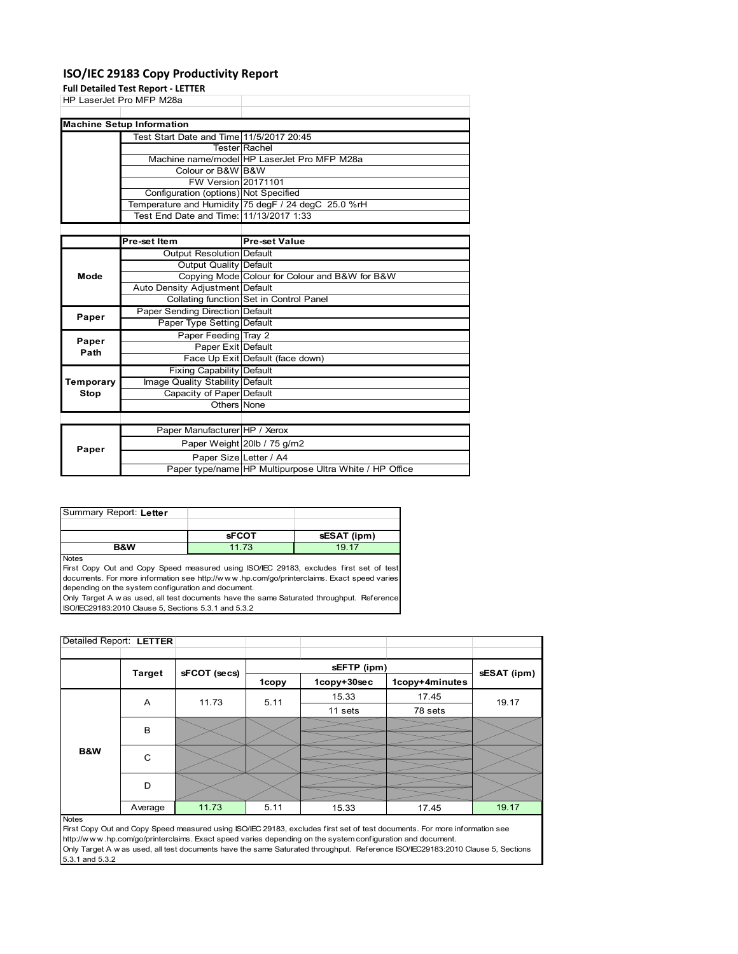### **ISO/IEC 29183 Copy Productivity Report**

**Full Detailed Test Report ‐ LETTER**

|             | <b>Full Detailed Test Report - LETTER</b>                |                                                     |
|-------------|----------------------------------------------------------|-----------------------------------------------------|
|             | HP LaserJet Pro MFP M28a                                 |                                                     |
|             |                                                          |                                                     |
|             | <b>Machine Setup Information</b>                         |                                                     |
|             | Test Start Date and Time 11/5/2017 20:45                 |                                                     |
|             |                                                          | <b>Tester Rachel</b>                                |
|             |                                                          | Machine name/model HP LaserJet Pro MFP M28a         |
|             | Colour or B&W B&W                                        |                                                     |
|             | FW Version 20171101                                      |                                                     |
|             | Configuration (options) Not Specified                    |                                                     |
|             |                                                          | Temperature and Humidity 75 degF / 24 degC 25.0 %rH |
|             | Test End Date and Time: 11/13/2017 1:33                  |                                                     |
|             |                                                          |                                                     |
|             | Pre-set Item                                             | <b>Pre-set Value</b>                                |
|             | Output Resolution Default                                |                                                     |
|             | Output Quality Default                                   |                                                     |
| Mode        |                                                          | Copying Mode Colour for Colour and B&W for B&W      |
|             | Auto Density Adjustment Default                          |                                                     |
|             |                                                          | Collating function Set in Control Panel             |
| Paper       | Paper Sending Direction Default                          |                                                     |
|             | Paper Type Setting Default                               |                                                     |
| Paper       | Paper Feeding Tray 2                                     |                                                     |
| Path        | Paper Exit Default                                       |                                                     |
|             |                                                          | Face Up Exit Default (face down)                    |
|             | Fixing Capability Default                                |                                                     |
| Temporary   | Image Quality Stability Default                          |                                                     |
| <b>Stop</b> | Capacity of Paper Default                                |                                                     |
|             | Others None                                              |                                                     |
|             |                                                          |                                                     |
|             | Paper Manufacturer HP / Xerox                            |                                                     |
| Paper       |                                                          | Paper Weight 20lb / 75 g/m2                         |
|             | Donor $C = \begin{bmatrix} 1 & 1 \\ 0 & 1 \end{bmatrix}$ |                                                     |

| Paper | . .                    |                                                         |
|-------|------------------------|---------------------------------------------------------|
|       | Paper SizelLetter / A4 |                                                         |
|       |                        | Paper type/name HP Multipurpose Ultra White / HP Office |
|       |                        |                                                         |
|       |                        |                                                         |

| Summary Report: Letter |              |             |
|------------------------|--------------|-------------|
|                        |              |             |
|                        | <b>sFCOT</b> | sESAT (ipm) |
| B&W                    | 11.73        | 19 17       |

Notes

First Copy Out and Copy Speed measured using ISO/IEC 29183, excludes first set of test documents. For more information see http://w w w .hp.com/go/printerclaims. Exact speed varies depending on the system configuration and document.

Only Target A w as used, all test documents have the same Saturated throughput. Reference ISO/IEC29183:2010 Clause 5, Sections 5.3.1 and 5.3.2

| Detailed Report: LETTER |               |              |       |             |                |             |
|-------------------------|---------------|--------------|-------|-------------|----------------|-------------|
|                         |               |              |       |             |                |             |
|                         | <b>Target</b> | sFCOT (secs) |       | sEFTP (ipm) |                | sESAT (ipm) |
|                         |               |              | 1copy | 1copy+30sec | 1copy+4minutes |             |
|                         | Α             | 11.73        | 5.11  | 15.33       | 17.45          | 19.17       |
|                         |               |              |       | 11 sets     | 78 sets        |             |
|                         | B             |              |       |             |                |             |
|                         |               |              |       |             |                |             |
| B&W                     | C             |              |       |             |                |             |
|                         |               |              |       |             |                |             |
|                         | D             |              |       |             |                |             |
|                         |               |              |       |             |                |             |
|                         | Average       | 11.73        | 5.11  | 15.33       | 17.45          | 19.17       |

#### Notes

First Copy Out and Copy Speed measured using ISO/IEC 29183, excludes first set of test documents. For more information see http://w w w .hp.com/go/printerclaims. Exact speed varies depending on the system configuration and document. Only Target A w as used, all test documents have the same Saturated throughput. Reference ISO/IEC29183:2010 Clause 5, Sections 5.3.1 and 5.3.2